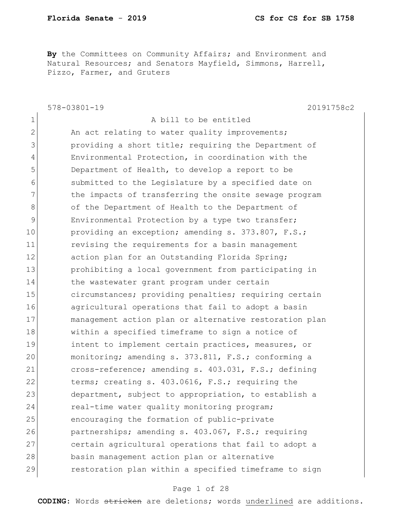**By** the Committees on Community Affairs; and Environment and Natural Resources; and Senators Mayfield, Simmons, Harrell, Pizzo, Farmer, and Gruters

578-03801-19 20191758c2 1 a bill to be entitled 2 An act relating to water quality improvements; 3 3 providing a short title; requiring the Department of 4 Environmental Protection, in coordination with the 5 Department of Health, to develop a report to be 6 submitted to the Legislature by a specified date on 7 The impacts of transferring the onsite sewage program 8 of the Department of Health to the Department of 9 Environmental Protection by a type two transfer; 10 providing an exception; amending s. 373.807, F.S.; 11 11 revising the requirements for a basin management 12 action plan for an Outstanding Florida Spring; 13 prohibiting a local government from participating in 14 the wastewater grant program under certain 15 circumstances; providing penalties; requiring certain 16 agricultural operations that fail to adopt a basin 17 management action plan or alternative restoration plan 18 within a specified timeframe to sign a notice of 19 19 intent to implement certain practices, measures, or 20 monitoring; amending s. 373.811, F.S.; conforming a 21 cross-reference; amending s. 403.031, F.S.; defining 22 terms; creating s. 403.0616, F.S.; requiring the 23 department, subject to appropriation, to establish a 24 real-time water quality monitoring program; 25 encouraging the formation of public-private 26 partnerships; amending s. 403.067, F.S.; requiring 27 certain agricultural operations that fail to adopt a 28 basin management action plan or alternative 29 restoration plan within a specified timeframe to sign

### Page 1 of 28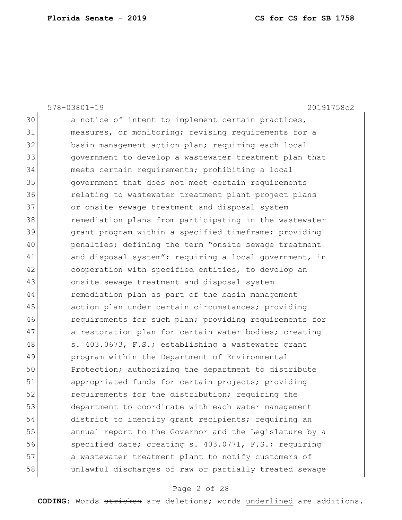|    | $578 - 03801 - 19$<br>20191758c2                       |
|----|--------------------------------------------------------|
| 30 | a notice of intent to implement certain practices,     |
| 31 | measures, or monitoring; revising requirements for a   |
| 32 | basin management action plan; requiring each local     |
| 33 | government to develop a wastewater treatment plan that |
| 34 | meets certain requirements; prohibiting a local        |
| 35 | government that does not meet certain requirements     |
| 36 | relating to wastewater treatment plant project plans   |
| 37 | or onsite sewage treatment and disposal system         |
| 38 | remediation plans from participating in the wastewater |
| 39 | grant program within a specified timeframe; providing  |
| 40 | penalties; defining the term "onsite sewage treatment  |
| 41 | and disposal system"; requiring a local government, in |
| 42 | cooperation with specified entities, to develop an     |
| 43 | onsite sewage treatment and disposal system            |
| 44 | remediation plan as part of the basin management       |
| 45 | action plan under certain circumstances; providing     |
| 46 | requirements for such plan; providing requirements for |
| 47 | a restoration plan for certain water bodies; creating  |
| 48 | s. 403.0673, F.S.; establishing a wastewater grant     |
| 49 | program within the Department of Environmental         |
| 50 | Protection; authorizing the department to distribute   |
| 51 | appropriated funds for certain projects; providing     |
| 52 | requirements for the distribution; requiring the       |
| 53 | department to coordinate with each water management    |
| 54 | district to identify grant recipients; requiring an    |
| 55 | annual report to the Governor and the Legislature by a |
| 56 | specified date; creating s. 403.0771, F.S.; requiring  |
| 57 | a wastewater treatment plant to notify customers of    |
| 58 | unlawful discharges of raw or partially treated sewage |
|    |                                                        |

# Page 2 of 28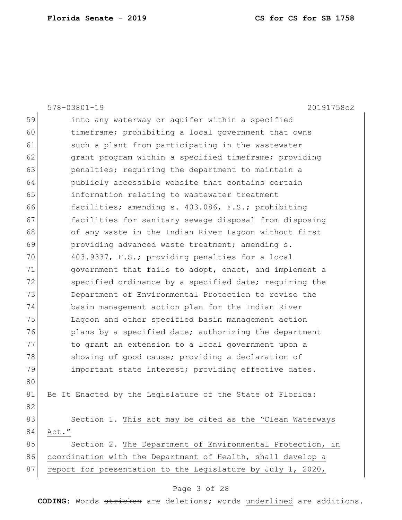|    | $578 - 03801 - 19$<br>20191758c2                            |
|----|-------------------------------------------------------------|
| 59 | into any waterway or aquifer within a specified             |
| 60 | timeframe; prohibiting a local government that owns         |
| 61 | such a plant from participating in the wastewater           |
| 62 | grant program within a specified timeframe; providing       |
| 63 | penalties; requiring the department to maintain a           |
| 64 | publicly accessible website that contains certain           |
| 65 | information relating to wastewater treatment                |
| 66 | facilities; amending s. 403.086, F.S.; prohibiting          |
| 67 | facilities for sanitary sewage disposal from disposing      |
| 68 | of any waste in the Indian River Lagoon without first       |
| 69 | providing advanced waste treatment; amending s.             |
| 70 | 403.9337, F.S.; providing penalties for a local             |
| 71 | government that fails to adopt, enact, and implement a      |
| 72 | specified ordinance by a specified date; requiring the      |
| 73 | Department of Environmental Protection to revise the        |
| 74 | basin management action plan for the Indian River           |
| 75 | Lagoon and other specified basin management action          |
| 76 | plans by a specified date; authorizing the department       |
| 77 | to grant an extension to a local government upon a          |
| 78 | showing of good cause; providing a declaration of           |
| 79 | important state interest; providing effective dates.        |
| 80 |                                                             |
| 81 | Be It Enacted by the Legislature of the State of Florida:   |
| 82 |                                                             |
| 83 | Section 1. This act may be cited as the "Clean Waterways    |
| 84 | Act."                                                       |
| 85 | Section 2. The Department of Environmental Protection, in   |
| 86 | coordination with the Department of Health, shall develop a |
| 87 | report for presentation to the Legislature by July 1, 2020, |

# Page 3 of 28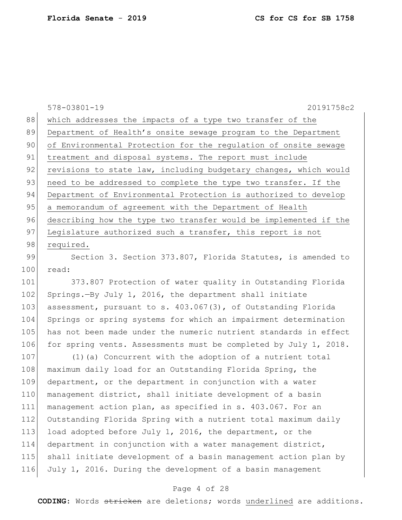578-03801-19 20191758c2 88 which addresses the impacts of a type two transfer of the 89 Department of Health's onsite sewage program to the Department 90 of Environmental Protection for the regulation of onsite sewage 91 treatment and disposal systems. The report must include 92 revisions to state law, including budgetary changes, which would 93 need to be addressed to complete the type two transfer. If the 94 Department of Environmental Protection is authorized to develop 95 a memorandum of agreement with the Department of Health 96 describing how the type two transfer would be implemented if the 97 Legislature authorized such a transfer, this report is not 98 required.

99 Section 3. Section 373.807, Florida Statutes, is amended to 100 read:

 373.807 Protection of water quality in Outstanding Florida 102 Springs.—By July 1, 2016, the department shall initiate assessment, pursuant to s. 403.067(3), of Outstanding Florida Springs or spring systems for which an impairment determination has not been made under the numeric nutrient standards in effect 106 for spring vents. Assessments must be completed by July 1, 2018.

107 (1) (a) Concurrent with the adoption of a nutrient total 108 maximum daily load for an Outstanding Florida Spring, the 109 department, or the department in conjunction with a water 110 management district, shall initiate development of a basin 111 management action plan, as specified in s. 403.067. For an 112 Outstanding Florida Spring with a nutrient total maximum daily 113 load adopted before July 1, 2016, the department, or the 114 department in conjunction with a water management district, 115 shall initiate development of a basin management action plan by 116 July 1, 2016. During the development of a basin management

### Page 4 of 28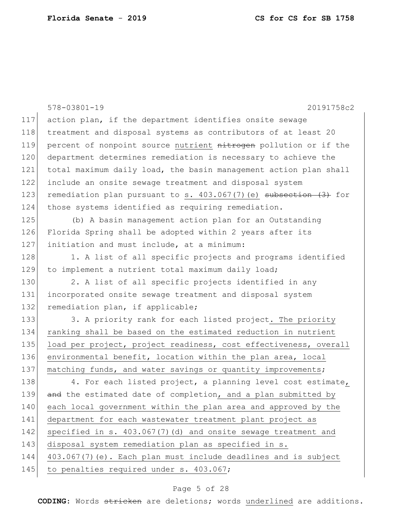|     | $578 - 03801 - 19$<br>20191758c2                                  |
|-----|-------------------------------------------------------------------|
| 117 | action plan, if the department identifies onsite sewage           |
| 118 | treatment and disposal systems as contributors of at least 20     |
| 119 | percent of nonpoint source nutrient nitrogen pollution or if the  |
| 120 | department determines remediation is necessary to achieve the     |
| 121 | total maximum daily load, the basin management action plan shall  |
| 122 | include an onsite sewage treatment and disposal system            |
| 123 | remediation plan pursuant to s. 403.067(7) (e) subsection (3) for |
| 124 | those systems identified as requiring remediation.                |
| 125 | (b) A basin management action plan for an Outstanding             |
| 126 | Florida Spring shall be adopted within 2 years after its          |
| 127 | initiation and must include, at a minimum:                        |
| 128 | 1. A list of all specific projects and programs identified        |
| 129 | to implement a nutrient total maximum daily load;                 |
| 130 | 2. A list of all specific projects identified in any              |
| 131 | incorporated onsite sewage treatment and disposal system          |
| 132 | remediation plan, if applicable;                                  |
| 133 | 3. A priority rank for each listed project. The priority          |
| 134 | ranking shall be based on the estimated reduction in nutrient     |
| 135 | load per project, project readiness, cost effectiveness, overall  |
| 136 | environmental benefit, location within the plan area, local       |
| 137 | matching funds, and water savings or quantity improvements;       |
| 138 | 4. For each listed project, a planning level cost estimate,       |
| 139 | and the estimated date of completion, and a plan submitted by     |
| 140 | each local government within the plan area and approved by the    |
| 141 | department for each wastewater treatment plant project as         |
| 142 | specified in s. 403.067(7)(d) and onsite sewage treatment and     |
| 143 | disposal system remediation plan as specified in s.               |
| 144 | 403.067(7) (e). Each plan must include deadlines and is subject   |
| 145 | to penalties required under s. 403.067;                           |
|     |                                                                   |

# Page 5 of 28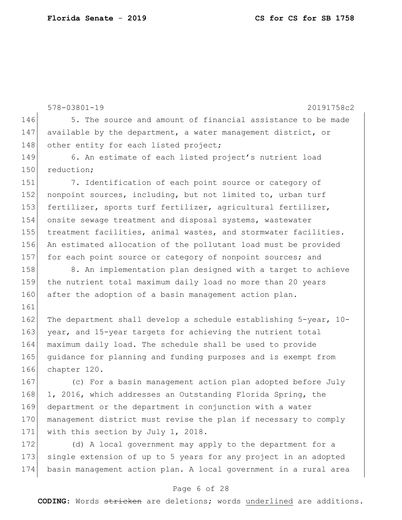161

578-03801-19 20191758c2 146 5. The source and amount of financial assistance to be made 147 available by the department, a water management district, or 148 other entity for each listed project; 149 6. An estimate of each listed project's nutrient load 150 reduction; 151 7. Identification of each point source or category of 152 nonpoint sources, including, but not limited to, urban turf 153 fertilizer, sports turf fertilizer, agricultural fertilizer, 154 onsite sewage treatment and disposal systems, wastewater 155 treatment facilities, animal wastes, and stormwater facilities. 156 An estimated allocation of the pollutant load must be provided 157 for each point source or category of nonpoint sources; and 158 8. An implementation plan designed with a target to achieve 159 the nutrient total maximum daily load no more than 20 years 160 after the adoption of a basin management action plan.

162 The department shall develop a schedule establishing 5-year, 10-163 year, and 15-year targets for achieving the nutrient total 164 maximum daily load. The schedule shall be used to provide 165 guidance for planning and funding purposes and is exempt from 166 chapter 120.

167 (c) For a basin management action plan adopted before July 168 1, 2016, which addresses an Outstanding Florida Spring, the 169 department or the department in conjunction with a water 170 management district must revise the plan if necessary to comply 171 with this section by July 1, 2018.

172 (d) A local government may apply to the department for a 173 single extension of up to 5 years for any project in an adopted 174 basin management action plan. A local government in a rural area

### Page 6 of 28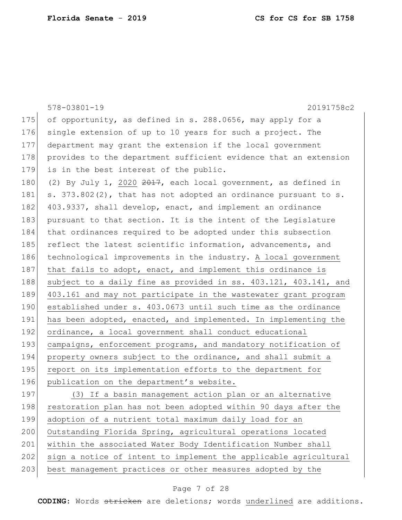|     | 20191758c2<br>$578 - 03801 - 19$                                  |
|-----|-------------------------------------------------------------------|
| 175 | of opportunity, as defined in s. 288.0656, may apply for a        |
| 176 | single extension of up to 10 years for such a project. The        |
| 177 | department may grant the extension if the local government        |
| 178 | provides to the department sufficient evidence that an extension  |
| 179 | is in the best interest of the public.                            |
| 180 | (2) By July 1, 2020 $2017$ , each local government, as defined in |
| 181 | s. 373.802(2), that has not adopted an ordinance pursuant to s.   |
| 182 | 403.9337, shall develop, enact, and implement an ordinance        |
| 183 | pursuant to that section. It is the intent of the Legislature     |
| 184 | that ordinances required to be adopted under this subsection      |
| 185 | reflect the latest scientific information, advancements, and      |
| 186 | technological improvements in the industry. A local government    |
| 187 | that fails to adopt, enact, and implement this ordinance is       |
| 188 | subject to a daily fine as provided in ss. 403.121, 403.141, and  |
| 189 | 403.161 and may not participate in the wastewater grant program   |
| 190 | established under s. 403.0673 until such time as the ordinance    |
| 191 | has been adopted, enacted, and implemented. In implementing the   |
| 192 | ordinance, a local government shall conduct educational           |
| 193 | campaigns, enforcement programs, and mandatory notification of    |
| 194 | property owners subject to the ordinance, and shall submit a      |
| 195 | report on its implementation efforts to the department for        |
| 196 | publication on the department's website.                          |
| 197 | (3) If a basin management action plan or an alternative           |
| 198 | restoration plan has not been adopted within 90 days after the    |
| 199 | adoption of a nutrient total maximum daily load for an            |
| 200 | Outstanding Florida Spring, agricultural operations located       |
| 201 | within the associated Water Body Identification Number shall      |
| 202 | sign a notice of intent to implement the applicable agricultural  |
| 203 | best management practices or other measures adopted by the        |

# Page 7 of 28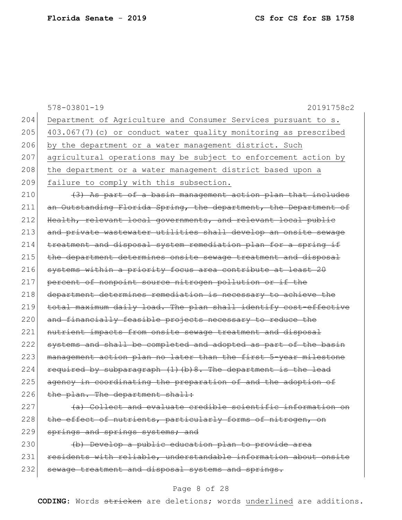|     | $578 - 03801 - 19$<br>20191758c2                                 |
|-----|------------------------------------------------------------------|
| 204 | Department of Agriculture and Consumer Services pursuant to s.   |
| 205 | 403.067(7)(c) or conduct water quality monitoring as prescribed  |
| 206 | by the department or a water management district. Such           |
| 207 | agricultural operations may be subject to enforcement action by  |
| 208 | the department or a water management district based upon a       |
| 209 | failure to comply with this subsection.                          |
| 210 | (3) As part of a basin management action plan that includes      |
| 211 | an Outstanding Florida Spring, the department, the Department of |
| 212 | Health, relevant local governments, and relevant local public    |
| 213 | and private wastewater utilities shall develop an onsite sewage  |
| 214 | treatment and disposal system remediation plan for a spring if   |
| 215 | the department determines onsite sewage treatment and disposal   |
| 216 | systems within a priority focus area contribute at least 20      |
| 217 | percent of nonpoint source nitrogen pollution or if the          |
| 218 | department determines remediation is necessary to achieve the    |
| 219 | total maximum daily load. The plan shall identify cost-effective |
| 220 | and financially feasible projects necessary to reduce the        |
| 221 | nutrient impacts from onsite sewage treatment and disposal       |
| 222 | systems and shall be completed and adopted as part of the basin  |
| 223 | management action plan no later than the first 5-year milestone  |
| 224 | required by subparagraph (1) (b) 8. The department is the lead   |
| 225 | agency in coordinating the preparation of and the adoption of    |
| 226 | the plan. The department shall:                                  |
| 227 | (a) Collect and evaluate credible scientific information on      |
| 228 | the effect of nutrients, particularly forms of nitrogen, on      |
| 229 | springs and springs systems; and                                 |
| 230 | (b) Develop a public education plan to provide area              |

231 residents with reliable, understandable information about onsite 232 sewage treatment and disposal systems and springs.

### Page 8 of 28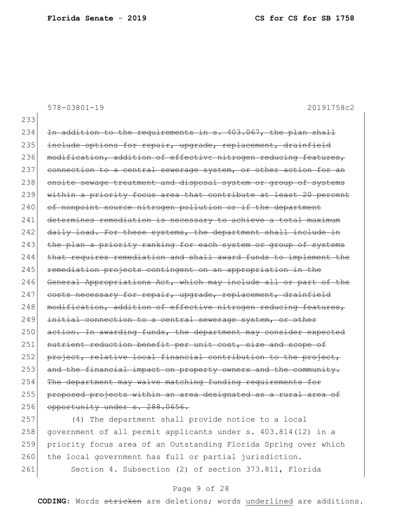578-03801-19 20191758c2

233

 $234$  In addition to the requirements in s.  $403.067$ , the plan shall 235 include options for repair, upgrade, replacement, drainfield 236 modification, addition of effective nitrogen reducing features, 237 connection to a central sewerage system, or other action for an 238 onsite sewage treatment and disposal system or group of systems 239 within a priority focus area that contribute at least 20 percent 240 of nonpoint source nitrogen pollution or if the department 241 determines remediation is necessary to achieve a total maximum 242 daily load. For these systems, the department shall include in 243 the plan a priority ranking for each system or group of systems  $244$  that requires remediation and shall award funds to implement the 245 remediation projects contingent on an appropriation in the 246 General Appropriations Act, which may include all or part of the 247 costs necessary for repair, upgrade, replacement, drainfield 248 modification, addition of effective nitrogen reducing features, 249 initial connection to a central sewerage system, or other 250 action. In awarding funds, the department may consider expected 251 nutrient reduction benefit per unit cost, size and scope of  $252$  project, relative local financial contribution to the project, 253 and the financial impact on property owners and the community. 254 The department may waive matching funding requirements for 255 proposed projects within an area designated as a rural area of 256 opportunity under s. 288.0656.

257 (4) The department shall provide notice to a local 258 government of all permit applicants under s. 403.814(12) in a 259 priority focus area of an Outstanding Florida Spring over which 260 the local government has full or partial jurisdiction. 261 Section 4. Subsection (2) of section 373.811, Florida

### Page 9 of 28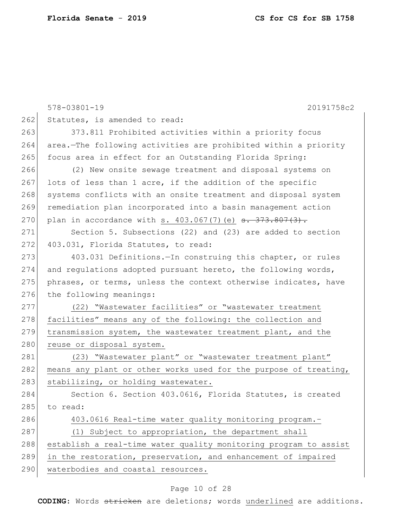|     | $578 - 03801 - 19$<br>20191758c2                                            |
|-----|-----------------------------------------------------------------------------|
| 262 | Statutes, is amended to read:                                               |
| 263 | 373.811 Prohibited activities within a priority focus                       |
| 264 | area. The following activities are prohibited within a priority             |
| 265 | focus area in effect for an Outstanding Florida Spring:                     |
| 266 | (2) New onsite sewage treatment and disposal systems on                     |
| 267 | lots of less than 1 acre, if the addition of the specific                   |
| 268 | systems conflicts with an onsite treatment and disposal system              |
| 269 | remediation plan incorporated into a basin management action                |
| 270 | plan in accordance with s. $403.067(7)$ (e) $\overline{3}$ . $373.807(3)$ . |
| 271 | Section 5. Subsections (22) and (23) are added to section                   |
| 272 | 403.031, Florida Statutes, to read:                                         |
| 273 | 403.031 Definitions. - In construing this chapter, or rules                 |
| 274 | and regulations adopted pursuant hereto, the following words,               |
| 275 | phrases, or terms, unless the context otherwise indicates, have             |
| 276 | the following meanings:                                                     |
| 277 | (22) "Wastewater facilities" or "wastewater treatment                       |
| 278 | facilities" means any of the following: the collection and                  |
| 279 | transmission system, the wastewater treatment plant, and the                |
| 280 | reuse or disposal system.                                                   |
| 281 | (23) "Wastewater plant" or "wastewater treatment plant"                     |
| 282 | means any plant or other works used for the purpose of treating,            |
| 283 | stabilizing, or holding wastewater.                                         |
| 284 | Section 6. Section 403.0616, Florida Statutes, is created                   |
| 285 | to read:                                                                    |
| 286 | 403.0616 Real-time water quality monitoring program.-                       |
| 287 | (1) Subject to appropriation, the department shall                          |
| 288 | establish a real-time water quality monitoring program to assist            |
| 289 | in the restoration, preservation, and enhancement of impaired               |
| 290 | waterbodies and coastal resources.                                          |

# Page 10 of 28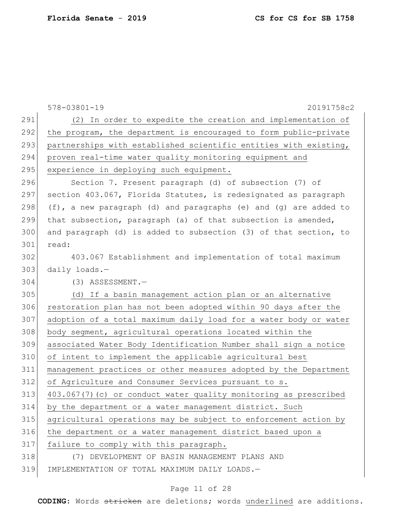|     | $578 - 03801 - 19$<br>20191758c2                                 |
|-----|------------------------------------------------------------------|
| 291 | (2) In order to expedite the creation and implementation of      |
| 292 | the program, the department is encouraged to form public-private |
| 293 | partnerships with established scientific entities with existing, |
| 294 | proven real-time water quality monitoring equipment and          |
| 295 | experience in deploying such equipment.                          |
| 296 | Section 7. Present paragraph (d) of subsection (7) of            |
| 297 | section 403.067, Florida Statutes, is redesignated as paragraph  |
| 298 | (f), a new paragraph (d) and paragraphs (e) and (g) are added to |
| 299 | that subsection, paragraph (a) of that subsection is amended,    |
| 300 | and paragraph (d) is added to subsection (3) of that section, to |
| 301 | read:                                                            |
| 302 | 403.067 Establishment and implementation of total maximum        |
| 303 | daily loads.-                                                    |
| 304 | $(3)$ ASSESSMENT. -                                              |
| 305 | (d) If a basin management action plan or an alternative          |
| 306 | restoration plan has not been adopted within 90 days after the   |
| 307 | adoption of a total maximum daily load for a water body or water |
| 308 | body segment, agricultural operations located within the         |
| 309 | associated Water Body Identification Number shall sign a notice  |
| 310 | of intent to implement the applicable agricultural best          |
| 311 | management practices or other measures adopted by the Department |
| 312 | of Agriculture and Consumer Services pursuant to s.              |
| 313 | 403.067(7)(c) or conduct water quality monitoring as prescribed  |
| 314 | by the department or a water management district. Such           |
| 315 | agricultural operations may be subject to enforcement action by  |
| 316 | the department or a water management district based upon a       |
| 317 | failure to comply with this paragraph.                           |
| 318 | (7) DEVELOPMENT OF BASIN MANAGEMENT PLANS AND                    |
| 319 | IMPLEMENTATION OF TOTAL MAXIMUM DAILY LOADS.-                    |

# Page 11 of 28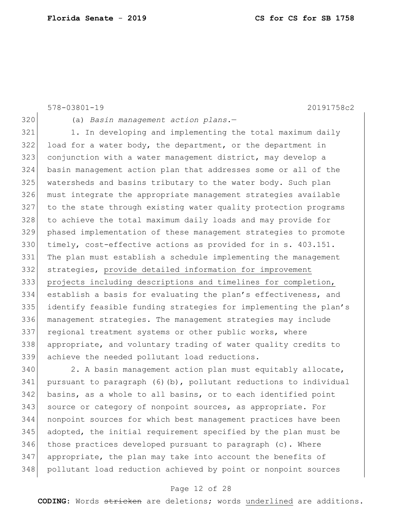```
578-03801-19 20191758c2
320 (a) Basin management action plans.—
321 1. In developing and implementing the total maximum daily
322 load for a water body, the department, or the department in 
323 conjunction with a water management district, may develop a 
324 basin management action plan that addresses some or all of the 
325 watersheds and basins tributary to the water body. Such plan 
326 must integrate the appropriate management strategies available 
327 to the state through existing water quality protection programs 
328 to achieve the total maximum daily loads and may provide for 
329 phased implementation of these management strategies to promote 
330 timely, cost-effective actions as provided for in s. 403.151. 
331 The plan must establish a schedule implementing the management 
332 strategies, provide detailed information for improvement 
333 projects including descriptions and timelines for completion,
334 establish a basis for evaluating the plan's effectiveness, and 
335 identify feasible funding strategies for implementing the plan's 
336 management strategies. The management strategies may include 
337 regional treatment systems or other public works, where
338 appropriate, and voluntary trading of water quality credits to 
339 achieve the needed pollutant load reductions.
```
340 2. A basin management action plan must equitably allocate, pursuant to paragraph (6)(b), pollutant reductions to individual basins, as a whole to all basins, or to each identified point 343 source or category of nonpoint sources, as appropriate. For nonpoint sources for which best management practices have been adopted, the initial requirement specified by the plan must be those practices developed pursuant to paragraph (c). Where appropriate, the plan may take into account the benefits of pollutant load reduction achieved by point or nonpoint sources

### Page 12 of 28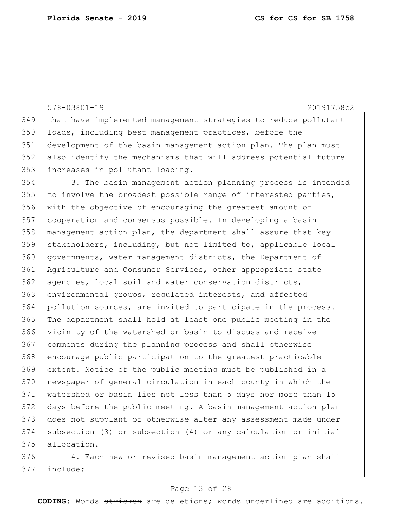578-03801-19 20191758c2 that have implemented management strategies to reduce pollutant 350 loads, including best management practices, before the development of the basin management action plan. The plan must also identify the mechanisms that will address potential future increases in pollutant loading. 3. The basin management action planning process is intended 355 to involve the broadest possible range of interested parties, with the objective of encouraging the greatest amount of cooperation and consensus possible. In developing a basin management action plan, the department shall assure that key stakeholders, including, but not limited to, applicable local governments, water management districts, the Department of Agriculture and Consumer Services, other appropriate state 362 agencies, local soil and water conservation districts, environmental groups, regulated interests, and affected pollution sources, are invited to participate in the process. The department shall hold at least one public meeting in the vicinity of the watershed or basin to discuss and receive comments during the planning process and shall otherwise encourage public participation to the greatest practicable extent. Notice of the public meeting must be published in a newspaper of general circulation in each county in which the watershed or basin lies not less than 5 days nor more than 15 days before the public meeting. A basin management action plan does not supplant or otherwise alter any assessment made under subsection (3) or subsection (4) or any calculation or initial allocation.

 4. Each new or revised basin management action plan shall include:

### Page 13 of 28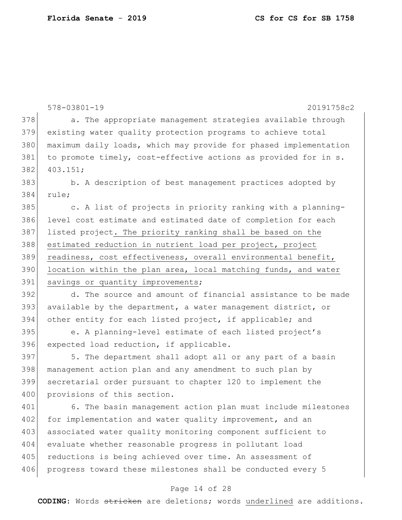|     | 578-03801-19<br>20191758c2                                       |
|-----|------------------------------------------------------------------|
| 378 | a. The appropriate management strategies available through       |
| 379 | existing water quality protection programs to achieve total      |
| 380 | maximum daily loads, which may provide for phased implementation |
| 381 | to promote timely, cost-effective actions as provided for in s.  |
| 382 | 403.151;                                                         |
| 383 | b. A description of best management practices adopted by         |
| 384 | rule;                                                            |
| 385 | c. A list of projects in priority ranking with a planning-       |
| 386 | level cost estimate and estimated date of completion for each    |
| 387 | listed project. The priority ranking shall be based on the       |
| 388 | estimated reduction in nutrient load per project, project        |
| 389 | readiness, cost effectiveness, overall environmental benefit,    |
| 390 | location within the plan area, local matching funds, and water   |
| 391 | savings or quantity improvements;                                |
| 392 | d. The source and amount of financial assistance to be made      |
| 393 | available by the department, a water management district, or     |
| 394 | other entity for each listed project, if applicable; and         |
| 395 | e. A planning-level estimate of each listed project's            |
| 396 | expected load reduction, if applicable.                          |
| 397 | 5. The department shall adopt all or any part of a basin         |
| 398 | management action plan and any amendment to such plan by         |
| 399 | secretarial order pursuant to chapter 120 to implement the       |
| 400 | provisions of this section.                                      |
| 401 | 6. The basin management action plan must include milestones      |
| 402 | for implementation and water quality improvement, and an         |
| 403 | associated water quality monitoring component sufficient to      |
| 404 | evaluate whether reasonable progress in pollutant load           |
| 405 | reductions is being achieved over time. An assessment of         |
| 406 | progress toward these milestones shall be conducted every 5      |

### Page 14 of 28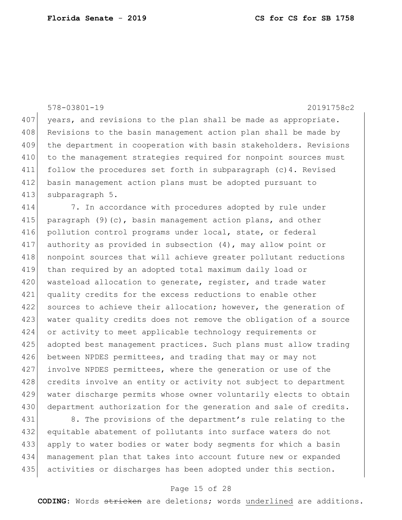578-03801-19 20191758c2

407 years, and revisions to the plan shall be made as appropriate. 408 Revisions to the basin management action plan shall be made by 409 the department in cooperation with basin stakeholders. Revisions 410 to the management strategies required for nonpoint sources must 411 follow the procedures set forth in subparagraph (c)4. Revised 412 basin management action plans must be adopted pursuant to 413 subparagraph 5.

414 7. In accordance with procedures adopted by rule under 415 paragraph (9)(c), basin management action plans, and other 416 pollution control programs under local, state, or federal 417 authority as provided in subsection (4), may allow point or 418 | nonpoint sources that will achieve greater pollutant reductions 419 than required by an adopted total maximum daily load or 420 wasteload allocation to generate, register, and trade water 421 quality credits for the excess reductions to enable other 422 sources to achieve their allocation; however, the generation of 423 water quality credits does not remove the obligation of a source 424 or activity to meet applicable technology requirements or 425 adopted best management practices. Such plans must allow trading 426 between NPDES permittees, and trading that may or may not 427 involve NPDES permittees, where the generation or use of the 428 credits involve an entity or activity not subject to department 429 water discharge permits whose owner voluntarily elects to obtain 430 department authorization for the generation and sale of credits.

431 8. The provisions of the department's rule relating to the 432 equitable abatement of pollutants into surface waters do not 433 apply to water bodies or water body segments for which a basin 434 management plan that takes into account future new or expanded 435 activities or discharges has been adopted under this section.

### Page 15 of 28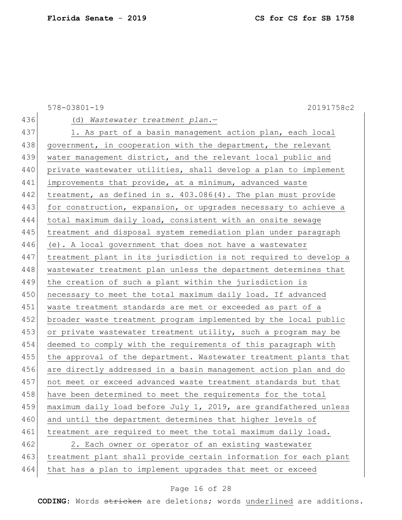578-03801-19 20191758c2 436 (d) *Wastewater treatment plan*.— 437 1. As part of a basin management action plan, each local 438 government, in cooperation with the department, the relevant 439 water management district, and the relevant local public and 440 private wastewater utilities, shall develop a plan to implement 441 improvements that provide, at a minimum, advanced waste 442 treatment, as defined in s. 403.086(4). The plan must provide 443 for construction, expansion, or upgrades necessary to achieve a 444 total maximum daily load, consistent with an onsite sewage 445 treatment and disposal system remediation plan under paragraph 446 (e). A local government that does not have a wastewater 447 treatment plant in its jurisdiction is not required to develop a 448 wastewater treatment plan unless the department determines that 449 the creation of such a plant within the jurisdiction is 450 necessary to meet the total maximum daily load. If advanced 451 waste treatment standards are met or exceeded as part of a 452 broader waste treatment program implemented by the local public 453 or private wastewater treatment utility, such a program may be 454 deemed to comply with the requirements of this paragraph with 455 the approval of the department. Wastewater treatment plants that 456 are directly addressed in a basin management action plan and do 457 not meet or exceed advanced waste treatment standards but that 458 have been determined to meet the requirements for the total 459 maximum daily load before July 1, 2019, are grandfathered unless 460 and until the department determines that higher levels of 461 treatment are required to meet the total maximum daily load. 462 2. Each owner or operator of an existing wastewater 463 treatment plant shall provide certain information for each plant 464 that has a plan to implement upgrades that meet or exceed

### Page 16 of 28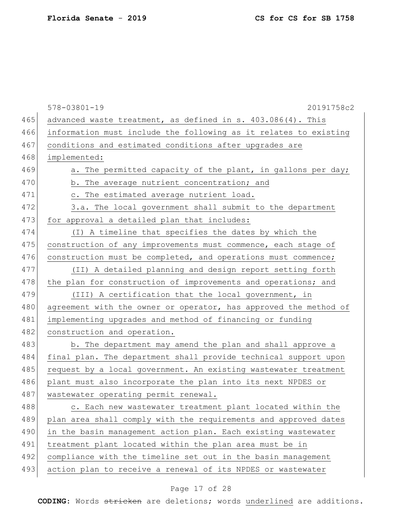|     | $578 - 03801 - 19$<br>20191758c2                                 |
|-----|------------------------------------------------------------------|
| 465 | advanced waste treatment, as defined in s. 403.086(4). This      |
| 466 | information must include the following as it relates to existing |
| 467 | conditions and estimated conditions after upgrades are           |
| 468 | implemented:                                                     |
| 469 | a. The permitted capacity of the plant, in gallons per day;      |
| 470 | b. The average nutrient concentration; and                       |
| 471 | c. The estimated average nutrient load.                          |
| 472 | 3.a. The local government shall submit to the department         |
| 473 | for approval a detailed plan that includes:                      |
| 474 | (I) A timeline that specifies the dates by which the             |
| 475 | construction of any improvements must commence, each stage of    |
| 476 | construction must be completed, and operations must commence;    |
| 477 | (II) A detailed planning and design report setting forth         |
| 478 | the plan for construction of improvements and operations; and    |
| 479 | (III) A certification that the local government, in              |
| 480 | agreement with the owner or operator, has approved the method of |
| 481 | implementing upgrades and method of financing or funding         |
| 482 | construction and operation.                                      |
| 483 | b. The department may amend the plan and shall approve a         |
| 484 | final plan. The department shall provide technical support upon  |
| 485 | request by a local government. An existing wastewater treatment  |
| 486 | plant must also incorporate the plan into its next NPDES or      |
| 487 | wastewater operating permit renewal.                             |
| 488 | c. Each new wastewater treatment plant located within the        |
| 489 | plan area shall comply with the requirements and approved dates  |
| 490 | in the basin management action plan. Each existing wastewater    |
| 491 | treatment plant located within the plan area must be in          |
| 492 | compliance with the timeline set out in the basin management     |
| 493 | action plan to receive a renewal of its NPDES or wastewater      |

# Page 17 of 28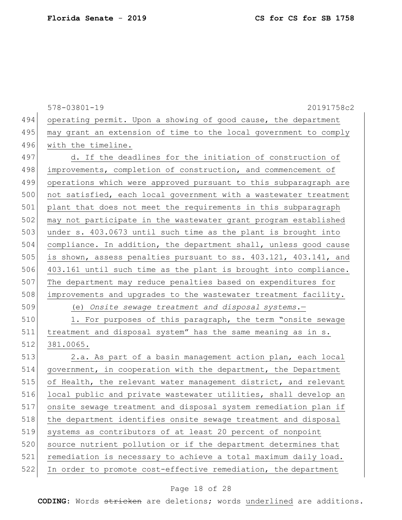|     | $578 - 03801 - 19$<br>20191758c2                                 |
|-----|------------------------------------------------------------------|
| 494 | operating permit. Upon a showing of good cause, the department   |
| 495 | may grant an extension of time to the local government to comply |
| 496 | with the timeline.                                               |
| 497 | d. If the deadlines for the initiation of construction of        |
| 498 | improvements, completion of construction, and commencement of    |
| 499 | operations which were approved pursuant to this subparagraph are |
| 500 | not satisfied, each local government with a wastewater treatment |
| 501 | plant that does not meet the requirements in this subparagraph   |
| 502 | may not participate in the wastewater grant program established  |
| 503 | under s. 403.0673 until such time as the plant is brought into   |
| 504 | compliance. In addition, the department shall, unless good cause |
| 505 | is shown, assess penalties pursuant to ss. 403.121, 403.141, and |
| 506 | 403.161 until such time as the plant is brought into compliance. |
| 507 | The department may reduce penalties based on expenditures for    |
| 508 | improvements and upgrades to the wastewater treatment facility.  |
| 509 | (e) Onsite sewage treatment and disposal systems.-               |
| 510 | 1. For purposes of this paragraph, the term "onsite sewage       |
| 511 | treatment and disposal system" has the same meaning as in s.     |
| 512 | 381.0065.                                                        |
| 513 | 2.a. As part of a basin management action plan, each local       |
| 514 | government, in cooperation with the department, the Department   |
| 515 | of Health, the relevant water management district, and relevant  |
| 516 | local public and private wastewater utilities, shall develop an  |
| 517 | onsite sewage treatment and disposal system remediation plan if  |
| 518 | the department identifies onsite sewage treatment and disposal   |
| 519 | systems as contributors of at least 20 percent of nonpoint       |
| 520 | source nutrient pollution or if the department determines that   |
| 521 | remediation is necessary to achieve a total maximum daily load.  |
| 522 | In order to promote cost-effective remediation, the department   |

# Page 18 of 28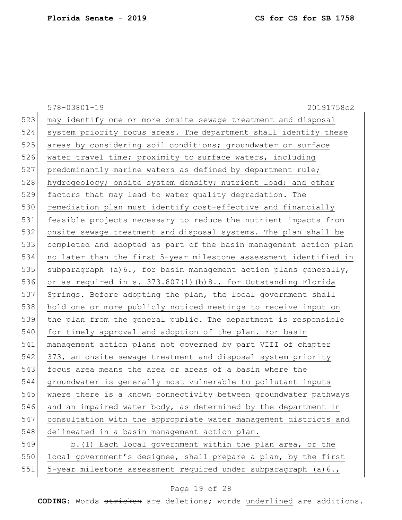|     | $578 - 03801 - 19$<br>20191758c2                                  |
|-----|-------------------------------------------------------------------|
| 523 | may identify one or more onsite sewage treatment and disposal     |
| 524 | system priority focus areas. The department shall identify these  |
| 525 | areas by considering soil conditions; groundwater or surface      |
| 526 | water travel time; proximity to surface waters, including         |
| 527 | predominantly marine waters as defined by department rule;        |
| 528 | hydrogeology; onsite system density; nutrient load; and other     |
| 529 | factors that may lead to water quality degradation. The           |
| 530 | remediation plan must identify cost-effective and financially     |
| 531 | feasible projects necessary to reduce the nutrient impacts from   |
| 532 | onsite sewage treatment and disposal systems. The plan shall be   |
| 533 | completed and adopted as part of the basin management action plan |
| 534 | no later than the first 5-year milestone assessment identified in |
| 535 | subparagraph (a) 6., for basin management action plans generally, |
| 536 | or as required in s. 373.807(1)(b)8., for Outstanding Florida     |
| 537 | Springs. Before adopting the plan, the local government shall     |
| 538 | hold one or more publicly noticed meetings to receive input on    |
| 539 | the plan from the general public. The department is responsible   |
| 540 | for timely approval and adoption of the plan. For basin           |
| 541 | management action plans not governed by part VIII of chapter      |
| 542 | 373, an onsite sewage treatment and disposal system priority      |
| 543 | focus area means the area or areas of a basin where the           |
| 544 | groundwater is generally most vulnerable to pollutant inputs      |
| 545 | where there is a known connectivity between groundwater pathways  |
| 546 | and an impaired water body, as determined by the department in    |
| 547 | consultation with the appropriate water management districts and  |
| 548 | delineated in a basin management action plan.                     |
| 549 | b. (I) Each local government within the plan area, or the         |
| 550 | local government's designee, shall prepare a plan, by the first   |
| 551 | 5-year milestone assessment required under subparagraph $(a)$ 6., |

# Page 19 of 28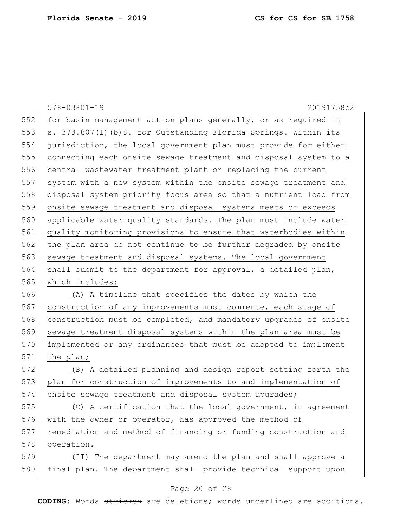|     | 578-03801-19<br>20191758c2                                       |
|-----|------------------------------------------------------------------|
| 552 | for basin management action plans generally, or as required in   |
| 553 | s. 373.807(1)(b)8. for Outstanding Florida Springs. Within its   |
| 554 | jurisdiction, the local government plan must provide for either  |
| 555 | connecting each onsite sewage treatment and disposal system to a |
| 556 | central wastewater treatment plant or replacing the current      |
| 557 | system with a new system within the onsite sewage treatment and  |
| 558 | disposal system priority focus area so that a nutrient load from |
| 559 | onsite sewage treatment and disposal systems meets or exceeds    |
| 560 | applicable water quality standards. The plan must include water  |
| 561 | quality monitoring provisions to ensure that waterbodies within  |
| 562 | the plan area do not continue to be further degraded by onsite   |
| 563 | sewage treatment and disposal systems. The local government      |
| 564 | shall submit to the department for approval, a detailed plan,    |
| 565 | which includes:                                                  |
| 566 | (A) A timeline that specifies the dates by which the             |
| 567 | construction of any improvements must commence, each stage of    |
| 568 | construction must be completed, and mandatory upgrades of onsite |
| 569 | sewage treatment disposal systems within the plan area must be   |
| 570 | implemented or any ordinances that must be adopted to implement  |
| 571 | the plan;                                                        |
| 572 | (B) A detailed planning and design report setting forth the      |
| 573 | plan for construction of improvements to and implementation of   |
| 574 | onsite sewage treatment and disposal system upgrades;            |
| 575 | (C) A certification that the local government, in agreement      |
| 576 | with the owner or operator, has approved the method of           |
| 577 | remediation and method of financing or funding construction and  |
| 578 | operation.                                                       |
| 579 | The department may amend the plan and shall approve a<br>(II)    |
| 580 | final plan. The department shall provide technical support upon  |
|     |                                                                  |

### Page 20 of 28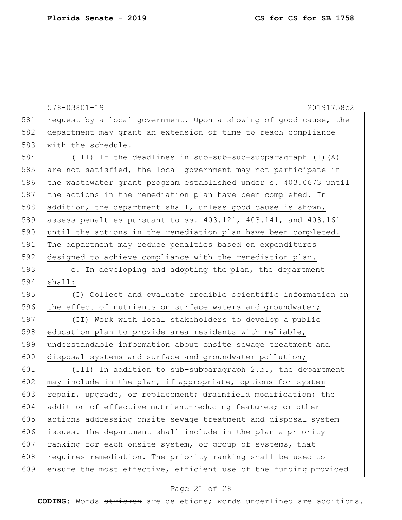|     | $578 - 03801 - 19$<br>20191758c2                                 |  |  |  |  |  |  |  |  |
|-----|------------------------------------------------------------------|--|--|--|--|--|--|--|--|
| 581 | request by a local government. Upon a showing of good cause, the |  |  |  |  |  |  |  |  |
| 582 | department may grant an extension of time to reach compliance    |  |  |  |  |  |  |  |  |
| 583 | with the schedule.                                               |  |  |  |  |  |  |  |  |
| 584 | (III) If the deadlines in sub-sub-sub-subparagraph (I) (A)       |  |  |  |  |  |  |  |  |
| 585 | are not satisfied, the local government may not participate in   |  |  |  |  |  |  |  |  |
| 586 | the wastewater grant program established under s. 403.0673 until |  |  |  |  |  |  |  |  |
| 587 | the actions in the remediation plan have been completed. In      |  |  |  |  |  |  |  |  |
| 588 | addition, the department shall, unless good cause is shown,      |  |  |  |  |  |  |  |  |
| 589 | assess penalties pursuant to ss. 403.121, 403.141, and 403.161   |  |  |  |  |  |  |  |  |
| 590 | until the actions in the remediation plan have been completed.   |  |  |  |  |  |  |  |  |
| 591 | The department may reduce penalties based on expenditures        |  |  |  |  |  |  |  |  |
| 592 | designed to achieve compliance with the remediation plan.        |  |  |  |  |  |  |  |  |
| 593 | c. In developing and adopting the plan, the department           |  |  |  |  |  |  |  |  |
| 594 | shall:                                                           |  |  |  |  |  |  |  |  |
| 595 | (I) Collect and evaluate credible scientific information on      |  |  |  |  |  |  |  |  |
| 596 | the effect of nutrients on surface waters and groundwater;       |  |  |  |  |  |  |  |  |
| 597 | (II) Work with local stakeholders to develop a public            |  |  |  |  |  |  |  |  |
| 598 | education plan to provide area residents with reliable,          |  |  |  |  |  |  |  |  |
| 599 | understandable information about onsite sewage treatment and     |  |  |  |  |  |  |  |  |
| 600 | disposal systems and surface and groundwater pollution;          |  |  |  |  |  |  |  |  |
| 601 | (III) In addition to sub-subparagraph 2.b., the department       |  |  |  |  |  |  |  |  |
| 602 | may include in the plan, if appropriate, options for system      |  |  |  |  |  |  |  |  |
| 603 | repair, upgrade, or replacement; drainfield modification; the    |  |  |  |  |  |  |  |  |
| 604 | addition of effective nutrient-reducing features; or other       |  |  |  |  |  |  |  |  |
| 605 | actions addressing onsite sewage treatment and disposal system   |  |  |  |  |  |  |  |  |
| 606 | issues. The department shall include in the plan a priority      |  |  |  |  |  |  |  |  |
| 607 | ranking for each onsite system, or group of systems, that        |  |  |  |  |  |  |  |  |
| 608 | requires remediation. The priority ranking shall be used to      |  |  |  |  |  |  |  |  |
| 609 | ensure the most effective, efficient use of the funding provided |  |  |  |  |  |  |  |  |

# Page 21 of 28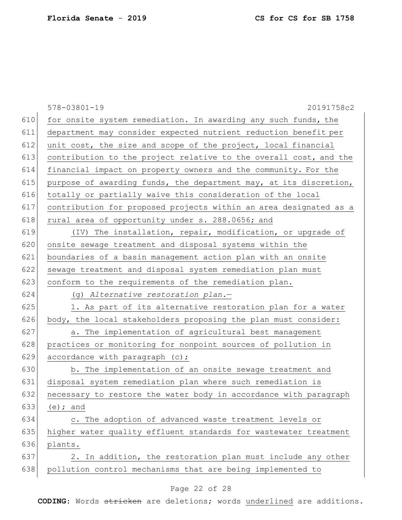|     | $578 - 03801 - 19$<br>20191758c2                                  |  |  |  |  |  |  |  |
|-----|-------------------------------------------------------------------|--|--|--|--|--|--|--|
| 610 | for onsite system remediation. In awarding any such funds, the    |  |  |  |  |  |  |  |
| 611 | department may consider expected nutrient reduction benefit per   |  |  |  |  |  |  |  |
| 612 | unit cost, the size and scope of the project, local financial     |  |  |  |  |  |  |  |
| 613 | contribution to the project relative to the overall cost, and the |  |  |  |  |  |  |  |
| 614 | financial impact on property owners and the community. For the    |  |  |  |  |  |  |  |
| 615 | purpose of awarding funds, the department may, at its discretion, |  |  |  |  |  |  |  |
| 616 | totally or partially waive this consideration of the local        |  |  |  |  |  |  |  |
| 617 | contribution for proposed projects within an area designated as a |  |  |  |  |  |  |  |
| 618 | rural area of opportunity under s. 288.0656; and                  |  |  |  |  |  |  |  |
| 619 | (IV) The installation, repair, modification, or upgrade of        |  |  |  |  |  |  |  |
| 620 | onsite sewage treatment and disposal systems within the           |  |  |  |  |  |  |  |
| 621 | boundaries of a basin management action plan with an onsite       |  |  |  |  |  |  |  |
| 622 | sewage treatment and disposal system remediation plan must        |  |  |  |  |  |  |  |
| 623 | conform to the requirements of the remediation plan.              |  |  |  |  |  |  |  |
| 624 | (g) Alternative restoration plan.-                                |  |  |  |  |  |  |  |
| 625 | 1. As part of its alternative restoration plan for a water        |  |  |  |  |  |  |  |
| 626 | body, the local stakeholders proposing the plan must consider:    |  |  |  |  |  |  |  |
| 627 | a. The implementation of agricultural best management             |  |  |  |  |  |  |  |
| 628 | practices or monitoring for nonpoint sources of pollution in      |  |  |  |  |  |  |  |
| 629 | accordance with paragraph (c);                                    |  |  |  |  |  |  |  |
| 630 | b. The implementation of an onsite sewage treatment and           |  |  |  |  |  |  |  |
| 631 | disposal system remediation plan where such remediation is        |  |  |  |  |  |  |  |
| 632 | necessary to restore the water body in accordance with paragraph  |  |  |  |  |  |  |  |
| 633 | $(e)$ ; and                                                       |  |  |  |  |  |  |  |
| 634 | c. The adoption of advanced waste treatment levels or             |  |  |  |  |  |  |  |
| 635 | higher water quality effluent standards for wastewater treatment  |  |  |  |  |  |  |  |
| 636 | plants.                                                           |  |  |  |  |  |  |  |
| 637 | In addition, the restoration plan must include any other<br>2.    |  |  |  |  |  |  |  |
| 638 | pollution control mechanisms that are being implemented to        |  |  |  |  |  |  |  |
|     |                                                                   |  |  |  |  |  |  |  |

# Page 22 of 28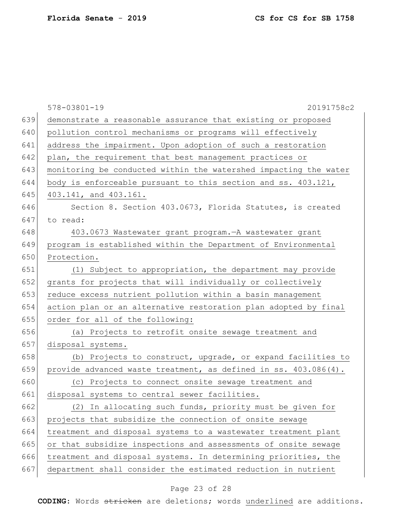|     | $578 - 03801 - 19$<br>20191758c2                                 |  |  |  |  |  |  |  |
|-----|------------------------------------------------------------------|--|--|--|--|--|--|--|
| 639 | demonstrate a reasonable assurance that existing or proposed     |  |  |  |  |  |  |  |
| 640 | pollution control mechanisms or programs will effectively        |  |  |  |  |  |  |  |
| 641 | address the impairment. Upon adoption of such a restoration      |  |  |  |  |  |  |  |
| 642 | plan, the requirement that best management practices or          |  |  |  |  |  |  |  |
| 643 | monitoring be conducted within the watershed impacting the water |  |  |  |  |  |  |  |
| 644 | body is enforceable pursuant to this section and ss. 403.121,    |  |  |  |  |  |  |  |
| 645 | 403.141, and 403.161.                                            |  |  |  |  |  |  |  |
| 646 | Section 8. Section 403.0673, Florida Statutes, is created        |  |  |  |  |  |  |  |
| 647 | to read:                                                         |  |  |  |  |  |  |  |
| 648 | 403.0673 Wastewater grant program. - A wastewater grant          |  |  |  |  |  |  |  |
| 649 | program is established within the Department of Environmental    |  |  |  |  |  |  |  |
| 650 | Protection.                                                      |  |  |  |  |  |  |  |
| 651 | (1) Subject to appropriation, the department may provide         |  |  |  |  |  |  |  |
| 652 | grants for projects that will individually or collectively       |  |  |  |  |  |  |  |
| 653 | reduce excess nutrient pollution within a basin management       |  |  |  |  |  |  |  |
| 654 | action plan or an alternative restoration plan adopted by final  |  |  |  |  |  |  |  |
| 655 | order for all of the following:                                  |  |  |  |  |  |  |  |
| 656 | (a) Projects to retrofit onsite sewage treatment and             |  |  |  |  |  |  |  |
| 657 | disposal systems.                                                |  |  |  |  |  |  |  |
| 658 | (b) Projects to construct, upgrade, or expand facilities to      |  |  |  |  |  |  |  |
| 659 | provide advanced waste treatment, as defined in ss. 403.086(4).  |  |  |  |  |  |  |  |
| 660 | (c) Projects to connect onsite sewage treatment and              |  |  |  |  |  |  |  |
| 661 | disposal systems to central sewer facilities.                    |  |  |  |  |  |  |  |
| 662 | (2) In allocating such funds, priority must be given for         |  |  |  |  |  |  |  |
| 663 | projects that subsidize the connection of onsite sewage          |  |  |  |  |  |  |  |
| 664 | treatment and disposal systems to a wastewater treatment plant   |  |  |  |  |  |  |  |
| 665 | or that subsidize inspections and assessments of onsite sewage   |  |  |  |  |  |  |  |
| 666 | treatment and disposal systems. In determining priorities, the   |  |  |  |  |  |  |  |
| 667 | department shall consider the estimated reduction in nutrient    |  |  |  |  |  |  |  |
|     |                                                                  |  |  |  |  |  |  |  |

# Page 23 of 28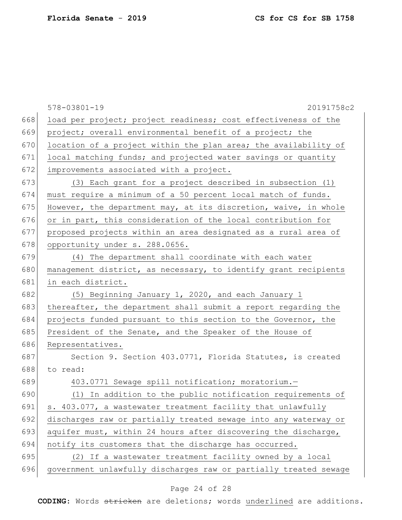|     | $578 - 03801 - 19$<br>20191758c2                                 |  |  |  |  |  |  |  |
|-----|------------------------------------------------------------------|--|--|--|--|--|--|--|
| 668 | load per project; project readiness; cost effectiveness of the   |  |  |  |  |  |  |  |
| 669 | project; overall environmental benefit of a project; the         |  |  |  |  |  |  |  |
| 670 | location of a project within the plan area; the availability of  |  |  |  |  |  |  |  |
| 671 | local matching funds; and projected water savings or quantity    |  |  |  |  |  |  |  |
| 672 | improvements associated with a project.                          |  |  |  |  |  |  |  |
| 673 | (3) Each grant for a project described in subsection (1)         |  |  |  |  |  |  |  |
| 674 | must require a minimum of a 50 percent local match of funds.     |  |  |  |  |  |  |  |
| 675 | However, the department may, at its discretion, waive, in whole  |  |  |  |  |  |  |  |
| 676 | or in part, this consideration of the local contribution for     |  |  |  |  |  |  |  |
| 677 | proposed projects within an area designated as a rural area of   |  |  |  |  |  |  |  |
| 678 | opportunity under s. 288.0656.                                   |  |  |  |  |  |  |  |
| 679 | (4) The department shall coordinate with each water              |  |  |  |  |  |  |  |
| 680 | management district, as necessary, to identify grant recipients  |  |  |  |  |  |  |  |
| 681 | in each district.                                                |  |  |  |  |  |  |  |
| 682 | (5) Beginning January 1, 2020, and each January 1                |  |  |  |  |  |  |  |
| 683 | thereafter, the department shall submit a report regarding the   |  |  |  |  |  |  |  |
| 684 | projects funded pursuant to this section to the Governor, the    |  |  |  |  |  |  |  |
| 685 | President of the Senate, and the Speaker of the House of         |  |  |  |  |  |  |  |
| 686 | Representatives.                                                 |  |  |  |  |  |  |  |
| 687 | Section 9. Section 403.0771, Florida Statutes, is created        |  |  |  |  |  |  |  |
| 688 | to read:                                                         |  |  |  |  |  |  |  |
| 689 | 403.0771 Sewage spill notification; moratorium.-                 |  |  |  |  |  |  |  |
| 690 | (1) In addition to the public notification requirements of       |  |  |  |  |  |  |  |
| 691 | s. 403.077, a wastewater treatment facility that unlawfully      |  |  |  |  |  |  |  |
| 692 | discharges raw or partially treated sewage into any waterway or  |  |  |  |  |  |  |  |
| 693 | aquifer must, within 24 hours after discovering the discharge,   |  |  |  |  |  |  |  |
| 694 | notify its customers that the discharge has occurred.            |  |  |  |  |  |  |  |
| 695 | (2) If a wastewater treatment facility owned by a local          |  |  |  |  |  |  |  |
| 696 | government unlawfully discharges raw or partially treated sewage |  |  |  |  |  |  |  |

# Page 24 of 28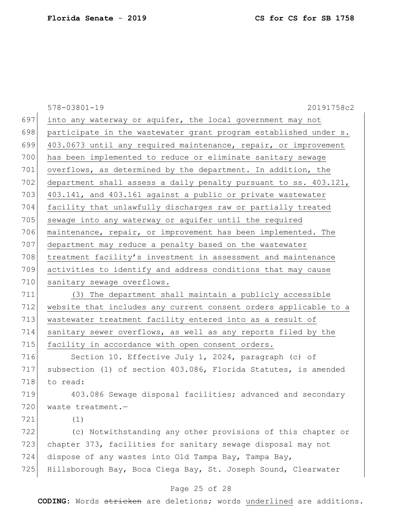|     | $578 - 03801 - 19$<br>20191758c2                                 |
|-----|------------------------------------------------------------------|
| 697 | into any waterway or aquifer, the local government may not       |
| 698 | participate in the wastewater grant program established under s. |
| 699 | 403.0673 until any required maintenance, repair, or improvement  |
| 700 | has been implemented to reduce or eliminate sanitary sewage      |
| 701 | overflows, as determined by the department. In addition, the     |
| 702 | department shall assess a daily penalty pursuant to ss. 403.121, |
| 703 | 403.141, and 403.161 against a public or private wastewater      |
| 704 | facility that unlawfully discharges raw or partially treated     |
| 705 | sewage into any waterway or aquifer until the required           |
| 706 | maintenance, repair, or improvement has been implemented. The    |
| 707 | department may reduce a penalty based on the wastewater          |
| 708 | treatment facility's investment in assessment and maintenance    |
| 709 | activities to identify and address conditions that may cause     |
| 710 | sanitary sewage overflows.                                       |
| 711 | (3) The department shall maintain a publicly accessible          |
| 712 | website that includes any current consent orders applicable to a |
| 713 | wastewater treatment facility entered into as a result of        |
| 714 | sanitary sewer overflows, as well as any reports filed by the    |
| 715 | facility in accordance with open consent orders.                 |
| 716 | Section 10. Effective July 1, 2024, paragraph (c) of             |
| 717 | subsection (1) of section 403.086, Florida Statutes, is amended  |
| 718 | to read:                                                         |
| 719 | 403.086 Sewage disposal facilities; advanced and secondary       |
| 720 | waste treatment.-                                                |
| 721 | (1)                                                              |
| 722 | (c) Notwithstanding any other provisions of this chapter or      |
| 723 | chapter 373, facilities for sanitary sewage disposal may not     |
| 724 | dispose of any wastes into Old Tampa Bay, Tampa Bay,             |
| 725 | Hillsborough Bay, Boca Ciega Bay, St. Joseph Sound, Clearwater   |
|     |                                                                  |

### Page 25 of 28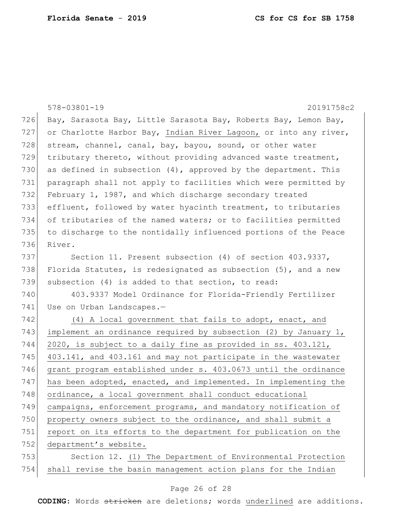|     | $578 - 03801 - 19$<br>20191758c2                                  |  |  |  |  |  |  |  |  |
|-----|-------------------------------------------------------------------|--|--|--|--|--|--|--|--|
| 726 | Bay, Sarasota Bay, Little Sarasota Bay, Roberts Bay, Lemon Bay,   |  |  |  |  |  |  |  |  |
| 727 | or Charlotte Harbor Bay, Indian River Lagoon, or into any river,  |  |  |  |  |  |  |  |  |
| 728 | stream, channel, canal, bay, bayou, sound, or other water         |  |  |  |  |  |  |  |  |
| 729 | tributary thereto, without providing advanced waste treatment,    |  |  |  |  |  |  |  |  |
| 730 | as defined in subsection $(4)$ , approved by the department. This |  |  |  |  |  |  |  |  |
| 731 | paragraph shall not apply to facilities which were permitted by   |  |  |  |  |  |  |  |  |
| 732 | February 1, 1987, and which discharge secondary treated           |  |  |  |  |  |  |  |  |
| 733 | effluent, followed by water hyacinth treatment, to tributaries    |  |  |  |  |  |  |  |  |
| 734 | of tributaries of the named waters; or to facilities permitted    |  |  |  |  |  |  |  |  |
| 735 | to discharge to the nontidally influenced portions of the Peace   |  |  |  |  |  |  |  |  |
| 736 | River.                                                            |  |  |  |  |  |  |  |  |
| 737 | Section 11. Present subsection (4) of section 403.9337,           |  |  |  |  |  |  |  |  |
| 738 | Florida Statutes, is redesignated as subsection $(5)$ , and a new |  |  |  |  |  |  |  |  |
| 739 | subsection (4) is added to that section, to read:                 |  |  |  |  |  |  |  |  |
| 740 | 403.9337 Model Ordinance for Florida-Friendly Fertilizer          |  |  |  |  |  |  |  |  |
| 741 | Use on Urban Landscapes.-                                         |  |  |  |  |  |  |  |  |
| 742 | (4) A local government that fails to adopt, enact, and            |  |  |  |  |  |  |  |  |
| 743 | implement an ordinance required by subsection $(2)$ by January 1, |  |  |  |  |  |  |  |  |
| 744 | 2020, is subject to a daily fine as provided in ss. 403.121,      |  |  |  |  |  |  |  |  |
| 745 | 403.141, and 403.161 and may not participate in the wastewater    |  |  |  |  |  |  |  |  |
| 746 | grant program established under s. 403.0673 until the ordinance   |  |  |  |  |  |  |  |  |
| 747 | has been adopted, enacted, and implemented. In implementing the   |  |  |  |  |  |  |  |  |
| 748 | ordinance, a local government shall conduct educational           |  |  |  |  |  |  |  |  |
| 749 | campaigns, enforcement programs, and mandatory notification of    |  |  |  |  |  |  |  |  |
| 750 | property owners subject to the ordinance, and shall submit a      |  |  |  |  |  |  |  |  |
| 751 | report on its efforts to the department for publication on the    |  |  |  |  |  |  |  |  |
| 752 | department's website.                                             |  |  |  |  |  |  |  |  |
| 753 | Section 12. (1) The Department of Environmental Protection        |  |  |  |  |  |  |  |  |
| 754 | shall revise the basin management action plans for the Indian     |  |  |  |  |  |  |  |  |

# Page 26 of 28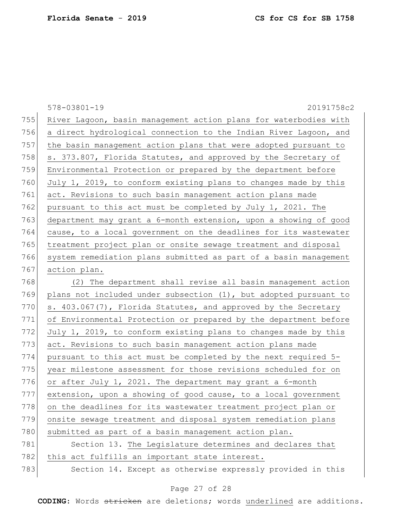|     | $578 - 03801 - 19$<br>20191758c2                                 |
|-----|------------------------------------------------------------------|
| 755 | River Lagoon, basin management action plans for waterbodies with |
| 756 | a direct hydrological connection to the Indian River Lagoon, and |
| 757 | the basin management action plans that were adopted pursuant to  |
| 758 | s. 373.807, Florida Statutes, and approved by the Secretary of   |
| 759 | Environmental Protection or prepared by the department before    |
| 760 | July 1, 2019, to conform existing plans to changes made by this  |
| 761 | act. Revisions to such basin management action plans made        |
| 762 | pursuant to this act must be completed by July 1, 2021. The      |
| 763 | department may grant a 6-month extension, upon a showing of good |
| 764 | cause, to a local government on the deadlines for its wastewater |
| 765 | treatment project plan or onsite sewage treatment and disposal   |
| 766 | system remediation plans submitted as part of a basin management |
| 767 | action plan.                                                     |
| 768 | (2) The department shall revise all basin management action      |
| 769 | plans not included under subsection (1), but adopted pursuant to |
| 770 | s. 403.067(7), Florida Statutes, and approved by the Secretary   |
| 771 | of Environmental Protection or prepared by the department before |
| 772 | July 1, 2019, to conform existing plans to changes made by this  |
| 773 | act. Revisions to such basin management action plans made        |
| 774 | pursuant to this act must be completed by the next required 5-   |
| 775 | year milestone assessment for those revisions scheduled for on   |
| 776 | or after July 1, 2021. The department may grant a 6-month        |
| 777 | extension, upon a showing of good cause, to a local government   |
| 778 | on the deadlines for its wastewater treatment project plan or    |
| 779 | onsite sewage treatment and disposal system remediation plans    |
| 780 | submitted as part of a basin management action plan.             |
| 781 | Section 13. The Legislature determines and declares that         |
| 782 | this act fulfills an important state interest.                   |
| 783 | Section 14. Except as otherwise expressly provided in this       |

# Page 27 of 28